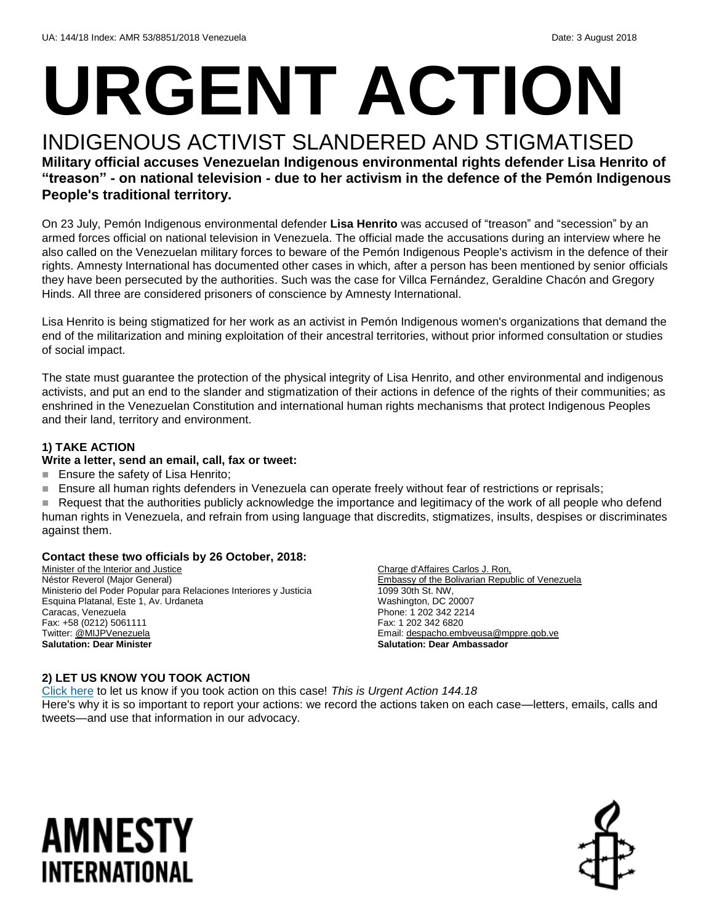# **URGENT ACTION**

#### INDIGENOUS ACTIVIST SLANDERED AND STIGMATISED **Military official accuses Venezuelan Indigenous environmental rights defender Lisa Henrito of "treason" - on national television - due to her activism in the defence of the Pemón Indigenous People's traditional territory.**

On 23 July, Pemón Indigenous environmental defender **Lisa Henrito** was accused of "treason" and "secession" by an armed forces official on national television in Venezuela. The official made the accusations during an interview where he also called on the Venezuelan military forces to beware of the Pemón Indigenous People's activism in the defence of their rights. Amnesty International has documented other cases in which, after a person has been mentioned by senior officials they have been persecuted by the authorities. Such was the case for Villca Fernández, Geraldine Chacón and Gregory Hinds. All three are considered prisoners of conscience by Amnesty International.

Lisa Henrito is being stigmatized for her work as an activist in Pemón Indigenous women's organizations that demand the end of the militarization and mining exploitation of their ancestral territories, without prior informed consultation or studies of social impact.

The state must guarantee the protection of the physical integrity of Lisa Henrito, and other environmental and indigenous activists, and put an end to the slander and stigmatization of their actions in defence of the rights of their communities; as enshrined in the Venezuelan Constitution and international human rights mechanisms that protect Indigenous Peoples and their land, territory and environment.

#### **1) TAKE ACTION**

#### **Write a letter, send an email, call, fax or tweet:**

- **Ensure the safety of Lisa Henrito;**
- Ensure all human rights defenders in Venezuela can operate freely without fear of restrictions or reprisals;

 Request that the authorities publicly acknowledge the importance and legitimacy of the work of all people who defend human rights in Venezuela, and refrain from using language that discredits, stigmatizes, insults, despises or discriminates against them.

#### **Contact these two officials by 26 October, 2018:**

Minister of the Interior and Justice Néstor Reverol (Major General) Ministerio del Poder Popular para Relaciones Interiores y Justicia Esquina Platanal, Este 1, Av. Urdaneta Caracas, Venezuela Fax: +58 (0212) 5061111 Twitter[: @MIJPVenezuela](https://twitter.com/mijpvenezuela?lang=en) **Salutation: Dear Minister**

Charge d'Affaires Carlos J. Ron, Embassy of the Bolivarian Republic of Venezuela 1099 30th St. NW, Washington, DC 20007 Phone: 1 202 342 2214 Fax: 1 202 342 6820 Email[: despacho.embveusa@mppre.gob.ve](mailto:despacho.embveusa@mppre.gob.ve) **Salutation: Dear Ambassador**

#### **2) LET US KNOW YOU TOOK ACTION**

[Click here](https://www.amnestyusa.org/report-urgent-actions/) to let us know if you took action on this case! *This is Urgent Action 144.18* Here's why it is so important to report your actions: we record the actions taken on each case—letters, emails, calls and tweets—and use that information in our advocacy.